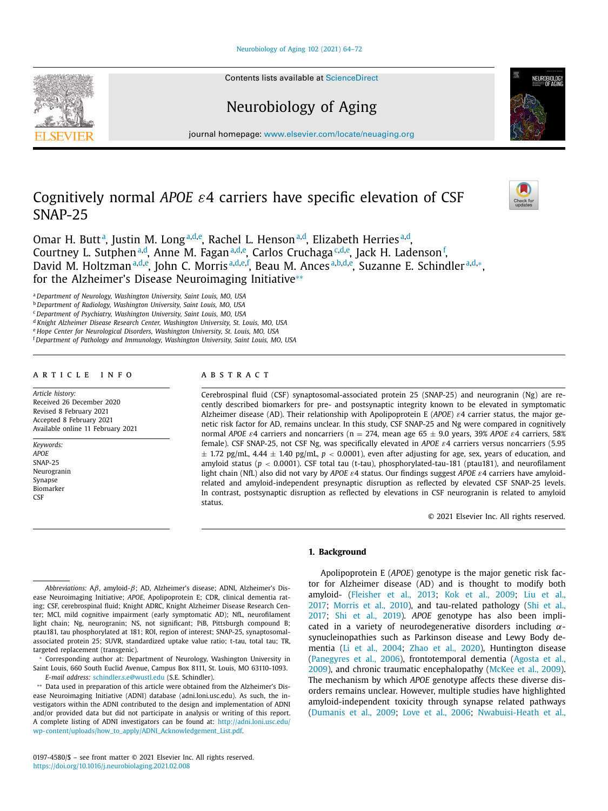## [Neurobiology](https://doi.org/10.1016/j.neurobiolaging.2021.02.008) of Aging 102 (2021) 64–72

Contents lists available at [ScienceDirect](http://www.ScienceDirect.com)

Neurobiology of Aging

journal homepage: [www.elsevier.com/locate/neuaging.org](http://www.elsevier.com/locate/neuaging.org)

# Cognitively normal *APOE* ε4 carriers have specific elevation of CSF SNAP-25

Omar H. Butt<sup>a</sup>, Justin M. Long<sup>a,d,e</sup>, Rachel L. Henson<sup>a,d</sup>, Elizabeth Herries<sup>a,d</sup>, Courtney L. Sutphen<sup>a,d</sup>, Anne M. Fagan<sup>a,d,e</sup>, Carlos Cruchaga<sup>,c,d,e</sup>, Jack H. Ladenson<sup>f</sup>, David M. Holtzman<sup>a,d,e</sup>, John C. Morris<sup>a,d,e,f</sup>, Beau M. Ances<sup>a,b,d,e</sup>, Suzanne E. Schindler<sup>a,d,</sup>\*, for the Alzheimer's Disease Neuroimaging Initiative∗∗

<sup>a</sup> *Department of Neurology, Washington University, Saint Louis, MO, USA*

<sup>b</sup> *Department of Radiology, Washington University, Saint Louis, MO, USA*

<sup>c</sup> *Department of Psychiatry, Washington University, Saint Louis, MO, USA*

<sup>d</sup> *Knight Alzheimer Disease Research Center, Washington University, St. Louis, MO, USA*

<sup>e</sup> *Hope Center for Neurological Disorders, Washington University, St. Louis, MO, USA*

<sup>f</sup> *Department of Pathology and Immunology, Washington University, Saint Louis, MO, USA*

#### ARTICLE INFO

*Article history:* Received 26 December 2020 Revised 8 February 2021 Accepted 8 February 2021 Available online 11 February 2021

*Keywords: APOE* SNAP-25 Neurogranin Synapse Biomarker **CSF** 

# A B S T R A C T

Cerebrospinal fluid (CSF) synaptosomal-associated protein 25 (SNAP-25) and neurogranin (Ng) are recently described biomarkers for pre- and postsynaptic integrity known to be elevated in symptomatic Alzheimer disease (AD). Their relationship with Apolipoprotein E (*APOE*) ε4 carrier status, the major genetic risk factor for AD, remains unclear. In this study, CSF SNAP-25 and Ng were compared in cognitively normal *APOE* ε<sup>4</sup> carriers and noncarriers (n <sup>=</sup> 274, mean age <sup>65</sup> <sup>±</sup> 9.0 years, 39% *APOE* ε<sup>4</sup> carriers, 58% female). CSF SNAP-25, not CSF Ng, was specifically elevated in *APOE* ε4 carriers versus noncarriers (5.95  $\pm$  1.72 pg/mL, 4.44  $\pm$  1.40 pg/mL,  $p < 0.0001$ ), even after adjusting for age, sex, years of education, and amyloid status ( $p < 0.0001$ ). CSF total tau (t-tau), phosphorylated-tau-181 (ptau181), and neurofilament light chain (NfL) also did not vary by *APOE* ε4 status. Our findings suggest *APOE* ε4 carriers have amyloidrelated and amyloid-independent presynaptic disruption as reflected by elevated CSF SNAP-25 levels. In contrast, postsynaptic disruption as reflected by elevations in CSF neurogranin is related to amyloid status.

© 2021 Elsevier Inc. All rights reserved.

## **1. Background**

<sup>∗</sup> Corresponding author at: Department of Neurology, Washington University in Saint Louis, 660 South Euclid Avenue, Campus Box 8111, St. Louis, MO 63110-1093. *E-mail address:* [schindler.s.e@wustl.edu](mailto:schindler.s.e@wustl.edu) (S.E. Schindler).

∗∗ Data used in preparation of this article were obtained from the Alzheimer's Disease Neuroimaging Initiative (ADNI) database (adni.loni.usc.edu). As such, the investigators within the ADNI contributed to the design and implementation of ADNI and/or provided data but did not participate in analysis or writing of this report. A complete listing of ADNI investigators can be found at: http://adni.loni.usc.edu/ [wp-content/uploads/how\\_to\\_apply/ADNI\\_Acknowledgement\\_List.pdf.](http://adni.loni.usc.edu/wp-content/uploads/how_to_apply/ADNI_Acknowledgement_List.pdf)

0197-4580/\$ – see front matter © 2021 Elsevier Inc. All rights reserved. <https://doi.org/10.1016/j.neurobiolaging.2021.02.008>

Apolipoprotein E (*APOE*) genotype is the major genetic risk factor for Alzheimer disease (AD) and is thought to modify both amyloid- [\(Fleisher](#page-6-0) et al., 2013; Kok et al., [2009;](#page-7-0) Liu et al., 2017; [Morris](#page-7-0) et al., 2010), and [tau-related](#page-7-0) pathology (Shi et al., 2017; Shi et al., [2019\)](#page-7-0). *APOE* genotype has also been implicated in a variety of neurodegenerative disorders including  $\alpha$ synucleinopathies such as Parkinson disease and Lewy Body dementia (Li et al., [2004;](#page-7-0) Zhao et al., [2020\)](#page-8-0), Huntington disease [\(Panegyres](#page-7-0) et al., 2006), frontotemporal dementia (Agosta et al., 2009), and chronic traumatic [encephalopathy](#page-6-0) [\(McKee](#page-7-0) et al., 2009). The mechanism by which *APOE* genotype affects these diverse disorders remains unclear. However, multiple studies have highlighted amyloid-independent toxicity through synapse related pathways [\(Dumanis](#page-6-0) et al., 2009; Love et al., [2006;](#page-7-0) [Nwabuisi-Heath](#page-7-0) et al.,





*Abbreviations:* Aβ, amyloid-β; AD, Alzheimer's disease; ADNI, Alzheimer's Disease Neuroimaging Initiative; *APOE*, Apolipoprotein E; CDR, clinical dementia rating; CSF, cerebrospinal fluid; Knight ADRC, Knight Alzheimer Disease Research Center; MCI, mild cognitive impairment (early symptomatic AD); NfL, neurofilament light chain; Ng, neurogranin; NS, not significant; PiB, Pittsburgh compound B; ptau181, tau phosphorylated at 181; ROI, region of interest; SNAP-25, synaptosomalassociated protein 25; SUVR, standardized uptake value ratio; t-tau, total tau; TR, targeted replacement (transgenic).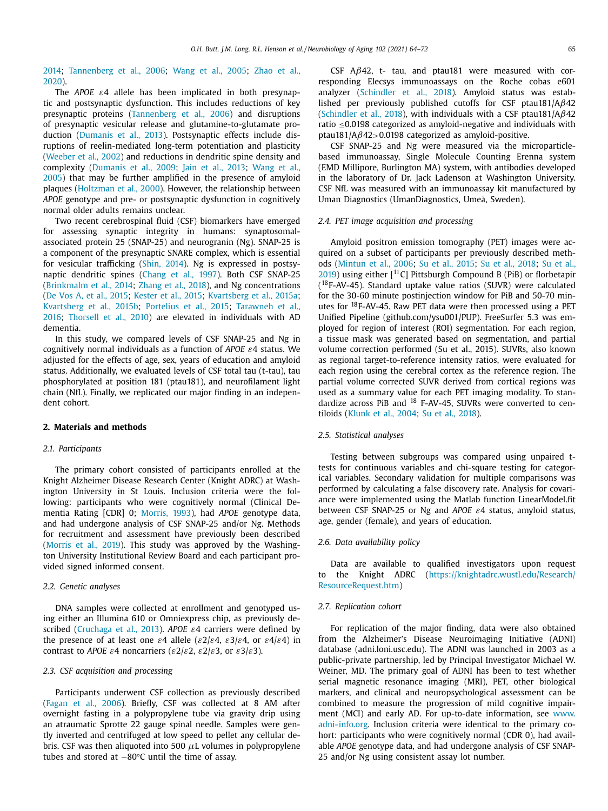[2014;](#page-7-0) [Tannenberg](#page-7-0) et al., 2006; [Wang](#page-7-0) et al., 2005; Zhao et al., 2020).

The *APOE* ε4 allele has been implicated in both presynaptic and postsynaptic dysfunction. This includes reductions of key presynaptic proteins [\(Tannenberg](#page-7-0) et al., 2006) and disruptions of presynaptic vesicular release and glutamine-to-glutamate production [\(Dumanis](#page-6-0) et al., 2013). Postsynaptic effects include disruptions of reelin-mediated long-term potentiation and plasticity [\(Weeber](#page-7-0) et al., 2002) and reductions in dendritic spine density and [complexity](#page-7-0) [\(Dumanis](#page-6-0) et al., 2009; Jain et al., [2013;](#page-6-0) Wang et al., 2005) that may be further amplified in the presence of amyloid plaques [\(Holtzman](#page-6-0) et al., 2000). However, the relationship between *APOE* genotype and pre- or postsynaptic dysfunction in cognitively normal older adults remains unclear.

Two recent cerebrospinal fluid (CSF) biomarkers have emerged for assessing synaptic integrity in humans: synaptosomalassociated protein 25 (SNAP-25) and neurogranin (Ng). SNAP-25 is a component of the presynaptic SNARE complex, which is essential for vesicular trafficking [\(Shin,](#page-7-0) 2014). Ng is expressed in postsynaptic dendritic spines [\(Chang](#page-6-0) et al., 1997). Both CSF SNAP-25 [\(Brinkmalm](#page-6-0) et al., 2014; [Zhang](#page-7-0) et al., 2018), and Ng concentrations (De Vos A, et al., [2015;](#page-6-0) [Kester](#page-6-0) et al., 2015; [Kvartsberg](#page-7-0) et al., 2015a; [Kvartsberg](#page-7-0) et al., 2015b; [Portelius](#page-7-0) et al., 2015; Tarawneh et al., 2016; [Thorsell](#page-7-0) et al., 2010) are elevated in [individuals](#page-7-0) with AD dementia.

In this study, we compared levels of CSF SNAP-25 and Ng in cognitively normal individuals as a function of *APOE* ε4 status. We adjusted for the effects of age, sex, years of education and amyloid status. Additionally, we evaluated levels of CSF total tau (t-tau), tau phosphorylated at position 181 (ptau181), and neurofilament light chain (NfL). Finally, we replicated our major finding in an independent cohort.

## **2. Materials and methods**

## *2.1. Participants*

The primary cohort consisted of participants enrolled at the Knight Alzheimer Disease Research Center (Knight ADRC) at Washington University in St Louis. Inclusion criteria were the following: participants who were cognitively normal (Clinical Dementia Rating [CDR] 0; [Morris,](#page-7-0) 1993), had *APOE* genotype data, and had undergone analysis of CSF SNAP-25 and/or Ng. Methods for recruitment and assessment have previously been described [\(Morris](#page-7-0) et al., 2019). This study was approved by the Washington University Institutional Review Board and each participant provided signed informed consent.

#### *2.2. Genetic analyses*

DNA samples were collected at enrollment and genotyped using either an Illumina 610 or Omniexpress chip, as previously described [\(Cruchaga](#page-6-0) et al., 2013). *APOE* ε4 carriers were defined by the presence of at least one  $\varepsilon$ 4 allele ( $\varepsilon$ 2/ $\varepsilon$ 4,  $\varepsilon$ 3/ $\varepsilon$ 4, or  $\varepsilon$ 4/ $\varepsilon$ 4) in contrast to *APOE*  $\varepsilon$ 4 noncarriers ( $\varepsilon$ 2/ $\varepsilon$ 2,  $\varepsilon$ 2/ $\varepsilon$ 3, or  $\varepsilon$ 3/ $\varepsilon$ 3).

#### *2.3. CSF acquisition and processing*

Participants underwent CSF collection as previously described [\(Fagan](#page-6-0) et al., 2006). Briefly, CSF was collected at 8 AM after overnight fasting in a polypropylene tube via gravity drip using an atraumatic Sprotte 22 gauge spinal needle. Samples were gently inverted and centrifuged at low speed to pellet any cellular debris. CSF was then aliquoted into 500  $\mu$ L volumes in polypropylene tubes and stored at −80°C until the time of assay.

CSF  $A\beta$ 42, t- tau, and ptau181 were measured with corresponding Elecsys immunoassays on the Roche cobas e601 analyzer [\(Schindler](#page-7-0) et al., 2018). Amyloid status was established per previously published cutoffs for CSF ptau181/Aβ42 [\(Schindler](#page-7-0) et al., 2018), with individuals with a CSF ptau181/A $\beta$ 42 ratio ≤0.0198 categorized as amyloid-negative and individuals with ptau181/A $\beta$ 42>0.0198 categorized as amyloid-positive.

CSF SNAP-25 and Ng were measured via the microparticlebased immunoassay, Single Molecule Counting Erenna system (EMD Millipore, Burlington MA) system, with antibodies developed in the laboratory of Dr. Jack Ladenson at Washington University. CSF NfL was measured with an immunoassay kit manufactured by Uman Diagnostics (UmanDiagnostics, Umeå, Sweden).

#### *2.4. PET image acquisition and processing*

Amyloid positron emission tomography (PET) images were acquired on a subset of participants per previously described methods [\(Mintun](#page-7-0) et al., 2006; Su et al., [2015;](#page-7-0) Su et al., [2018;](#page-7-0) Su et al., 2019) using either  $[$ <sup>11</sup>C] Pittsburgh [Compound](#page-7-0) B (PiB) or florbetapir  $(^{18}F-AV-45)$ . Standard uptake value ratios (SUVR) were calculated for the 30-60 minute postinjection window for PiB and 50-70 minutes for 18F-AV-45. Raw PET data were then processed using a PET Unified Pipeline (github.com/ysu001/PUP). FreeSurfer 5.3 was employed for region of interest (ROI) segmentation. For each region, a tissue mask was generated based on segmentation, and partial volume correction performed (Su et al., 2015). SUVRs, also known as regional target-to-reference intensity ratios, were evaluated for each region using the cerebral cortex as the reference region. The partial volume corrected SUVR derived from cortical regions was used as a summary value for each PET imaging modality. To standardize across PiB and <sup>18</sup> F-AV-45, SUVRs were converted to centiloids [\(Klunk](#page-7-0) et al., 2004; Su et al., [2018\)](#page-7-0).

#### *2.5. Statistical analyses*

Testing between subgroups was compared using unpaired ttests for continuous variables and chi-square testing for categorical variables. Secondary validation for multiple comparisons was performed by calculating a false discovery rate. Analysis for covariance were implemented using the Matlab function LinearModel.fit between CSF SNAP-25 or Ng and *APOE* ε4 status, amyloid status, age, gender (female), and years of education.

#### *2.6. Data availability policy*

Data are available to qualified investigators upon request to the Knight ADRC [\(https://knightadrc.wustl.edu/Research/](https://knightadrc.wustl.edu/Research/ResourceRequest.htm) ResourceRequest.htm)

#### *2.7. Replication cohort*

For replication of the major finding, data were also obtained from the Alzheimer's Disease Neuroimaging Initiative (ADNI) database (adni.loni.usc.edu). The ADNI was launched in 2003 as a public-private partnership, led by Principal Investigator Michael W. Weiner, MD. The primary goal of ADNI has been to test whether serial magnetic resonance imaging (MRI), PET, other biological markers, and clinical and neuropsychological assessment can be combined to measure the progression of mild cognitive impairment (MCI) and early AD. For up-to-date information, see www. [adni-info.org.](http://www.adni-info.org) Inclusion criteria were identical to the primary cohort: participants who were cognitively normal (CDR 0), had available *APOE* genotype data, and had undergone analysis of CSF SNAP-25 and/or Ng using consistent assay lot number.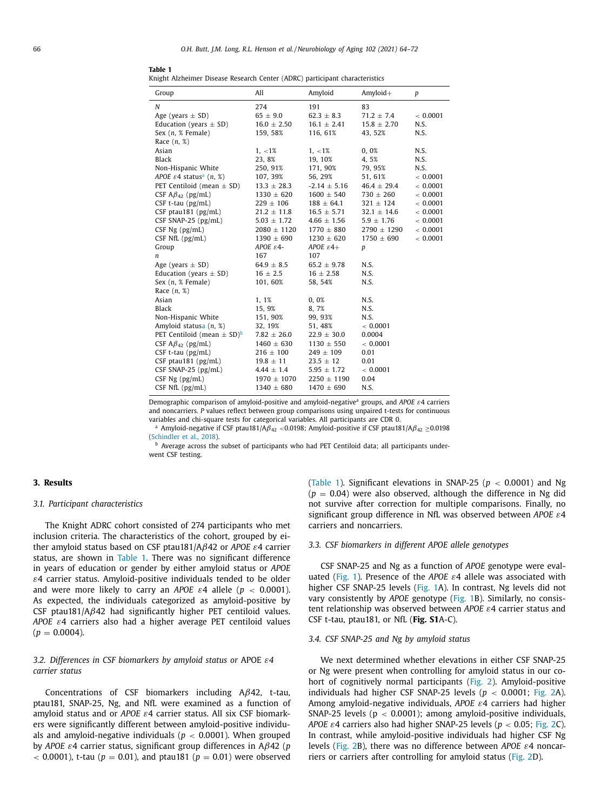| Group                                           | All                   | Amyloid               | $Amyloid+$       | p        |
|-------------------------------------------------|-----------------------|-----------------------|------------------|----------|
| N                                               | 274                   | 191                   | 83               |          |
| Age (years $\pm$ SD)                            | $65 \pm 9.0$          | $62.3 \pm 8.3$        | $71.2 \pm 7.4$   | < 0.0001 |
| Education (years $\pm$ SD)                      | $16.0 \pm 2.50$       | $16.1 \pm 2.41$       | $15.8 \pm 2.70$  | N.S.     |
| Sex $(n, %$ Female)                             | 159, 58%              | 116, 61%              | 43, 52%          | N.S.     |
| Race $(n, %)$                                   |                       |                       |                  |          |
| Asian                                           | $1. < 1\%$            | $1, -1%$              | 0,0%             | N.S.     |
| <b>Black</b>                                    | 23, 8%                | 19, 10%               | 4,5%             | N.S.     |
| Non-Hispanic White                              | 250, 91%              | 171, 90%              | 79, 95%          | N.S.     |
| APOE $\varepsilon$ 4 status <sup>a</sup> (n, %) | 107, 39%              | 56, 29%               | 51, 61%          | < 0.0001 |
| PET Centiloid (mean $\pm$ SD)                   | $13.3 \pm 28.3$       | $-2.14 \pm 5.16$      | $46.4 \pm 29.4$  | < 0.0001 |
| CSF $A\beta_{42}$ (pg/mL)                       | $1330 \pm 620$        | $1600 \pm 540$        | $730 \pm 260$    | < 0.0001 |
| $CSF$ t-tau $(pg/mL)$                           | $229 \pm 106$         | $188 \pm 64.1$        | $321 \pm 124$    | < 0.0001 |
| $CSF$ ptau181 (pg/mL)                           | $21.2 \pm 11.8$       | $16.5 \pm 5.71$       | $32.1 \pm 14.6$  | < 0.0001 |
| CSF SNAP-25 $(pg/mL)$                           | $5.03 \pm 1.72$       | $4.66 \pm 1.56$       | $5.9 \pm 1.76$   | < 0.0001 |
| $CSF$ Ng $(pg/mL)$                              | $2080 \pm 1120$       | $1770 \pm 880$        | $2790 \pm 1290$  | < 0.0001 |
| $CSF$ NfL $(pg/mL)$                             | $1390 \pm 690$        | $1230 \pm 620$        | $1750 \pm 690$   | < 0.0001 |
| Group                                           | APOE $\varepsilon$ 4- | APOE $\varepsilon$ 4+ | $\boldsymbol{p}$ |          |
| n                                               | 167                   | 107                   |                  |          |
| Age (years $\pm$ SD)                            | $64.9 \pm 8.5$        | $65.2 \pm 9.78$       | N.S.             |          |
| Education (years $\pm$ SD)                      | $16 \pm 2.5$          | $16 \pm 2.58$         | N.S.             |          |
| Sex $(n, %$ Female)                             | 101, 60%              | 58, 54%               | N.S.             |          |
| Race $(n, %)$                                   |                       |                       |                  |          |
| Asian                                           | 1, 1%                 | 0,0%                  | N.S.             |          |
| <b>Black</b>                                    | 15, 9%                | 8,7%                  | N.S.             |          |
| Non-Hispanic White                              | 151, 90%              | 99, 93%               | N.S.             |          |
| Amyloid statusa $(n, \mathcal{X})$              | 32, 19%               | 51, 48%               | < 0.0001         |          |
| PET Centiloid (mean $\pm$ SD) <sup>b</sup>      | $7.82 \pm 26.0$       | $22.9 \pm 30.0$       | 0.0004           |          |
| CSF $A\beta_{42}$ (pg/mL)                       | $1460 \pm 630$        | $1130 \pm 550$        | < 0.0001         |          |
| $CSF$ t-tau ( $pg/mL$ )                         | $216 \pm 100$         | $249 \pm 109$         | 0.01             |          |
| $CSF$ ptau181 ( $pg/mL$ )                       | $19.8 \pm 11$         | $23.5 \pm 12$         | 0.01             |          |
| CSF SNAP-25 $(pg/mL)$                           | $4.44 \pm 1.4$        | $5.95 \pm 1.72$       | < 0.0001         |          |
| $CSF$ Ng $(pg/mL)$                              | $1970 \pm 1070$       | $2250 \pm 1190$       | 0.04             |          |
| $CSF$ NfL $(pg/mL)$                             | $1340 \pm 680$        | $1470 \pm 690$        | N.S.             |          |

**Table 1** Knight Alzheimer Disease Research Center (ADRC) participant characteristics

Demographic comparison of amyloid-positive and amyloid-negative<sup>a</sup> groups, and *APOE* ε4 carriers and noncarriers. *P* values reflect between group comparisons using unpaired t-tests for continuous variables and chi-square tests for categorical variables. All participants are CDR 0.

<sup>a</sup> Amyloid-negative if CSF ptau181/A $\beta_{42}$  <0.0198; Amyloid-positive if CSF ptau181/A $\beta_{42}$  ≥0.0198 [\(Schindler](#page-7-0) et al., 2018).

<sup>b</sup> Average across the subset of participants who had PET Centiloid data; all participants underwent CSF testing.

### **3. Results**

#### *3.1. Participant characteristics*

The Knight ADRC cohort consisted of 274 participants who met inclusion criteria. The characteristics of the cohort, grouped by either amyloid status based on CSF ptau181/Aβ42 or *APOE* ε4 carrier status, are shown in Table 1. There was no significant difference in years of education or gender by either amyloid status or *APOE* ε4 carrier status. Amyloid-positive individuals tended to be older and were more likely to carry an *APOE*  $\varepsilon$ 4 allele ( $p < 0.0001$ ). As expected, the individuals categorized as amyloid-positive by CSF ptau181/Aβ42 had significantly higher PET centiloid values. *APOE* ε4 carriers also had a higher average PET centiloid values  $(p = 0.0004)$ .

# *3.2. Differences in CSF biomarkers by amyloid status or* APOE ε*4 carrier status*

Concentrations of CSF biomarkers including Aβ42, t-tau, ptau181, SNAP-25, Ng, and NfL were examined as a function of amyloid status and or *APOE* ε4 carrier status. All six CSF biomarkers were significantly different between amyloid-positive individuals and amyloid-negative individuals ( $p < 0.0001$ ). When grouped by *APOE* ε4 carrier status, significant group differences in Aβ42 (*p*  $(0.0001)$ , t-tau ( $p = 0.01$ ), and ptau181 ( $p = 0.01$ ) were observed (Table 1). Significant elevations in SNAP-25 (*p* < 0.0001) and Ng  $(p = 0.04)$  were also observed, although the difference in Ng did not survive after correction for multiple comparisons. Finally, no significant group difference in NfL was observed between *APOE* ε4 carriers and noncarriers.

#### *3.3. CSF biomarkers in different APOE allele genotypes*

CSF SNAP-25 and Ng as a function of *APOE* genotype were evaluated [\(Fig.](#page-3-0) 1). Presence of the *APOE* ε4 allele was associated with higher CSF SNAP-25 levels [\(Fig.](#page-3-0) 1A). In contrast, Ng levels did not vary consistently by *APOE* genotype [\(Fig.](#page-3-0) 1B). Similarly, no consistent relationship was observed between *APOE* ε4 carrier status and CSF t-tau, ptau181, or NfL (**Fig. S1**A-C).

#### *3.4. CSF SNAP-25 and Ng by amyloid status*

We next determined whether elevations in either CSF SNAP-25 or Ng were present when controlling for amyloid status in our cohort of cognitively normal participants [\(Fig.](#page-3-0) 2). Amyloid-positive individuals had higher CSF SNAP-25 levels ( $p < 0.0001$ ; [Fig.](#page-3-0) 2A). Among amyloid-negative individuals, *APOE* ε4 carriers had higher SNAP-25 levels ( $p < 0.0001$ ); among amyloid-positive individuals, *APOE* ε4 carriers also had higher SNAP-25 levels (*p* < 0.05; [Fig.](#page-3-0) 2C). In contrast, while amyloid-positive individuals had higher CSF Ng levels [\(Fig.](#page-3-0) 2B), there was no difference between *APOE* ε4 noncarriers or carriers after controlling for amyloid status [\(Fig.](#page-3-0) 2D).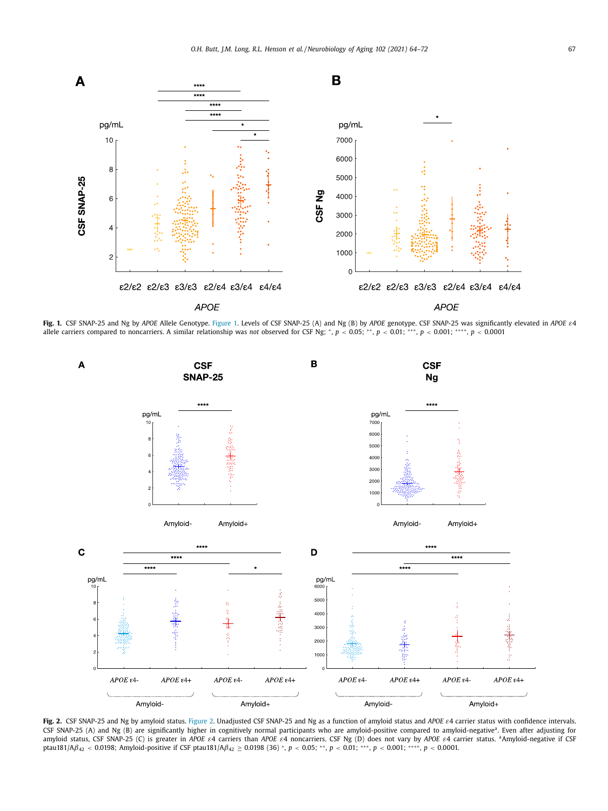<span id="page-3-0"></span>

**Fig. 1.** CSF SNAP-25 and Ng by *APOE* Allele Genotype. Figure 1. Levels of CSF SNAP-25 (A) and Ng (B) by *APOE* genotype. CSF SNAP-25 was significantly elevated in *APOE* ε4 allele carriers compared to noncarriers. A similar relationship was *not* observed for CSF Ng; \*,  $p < 0.05$ ; \*\*,  $p < 0.01$ ; \*\*\*,  $p < 0.001$ ; \*\*\*\*,  $p < 0.0001$ 



**Fig. 2.** CSF SNAP-25 and Ng by amyloid status. Figure 2. Unadjusted CSF SNAP-25 and Ng as a function of amyloid status and *APOE* ε4 carrier status with confidence intervals. CSF SNAP-25 (A) and Ng (B) are significantly higher in cognitively normal participants who are amyloid-positive compared to amyloid-negative<sup>a</sup>. Even after adjusting for amyloid status, CSF SNAP-25 (C) is greater in *APOE* ε4 carriers than *APOE* ε4 noncarriers. CSF Ng (D) does not vary by *APOE* ε4 carrier status. aAmyloid-negative if CSF ptau181/Aβ<sup>42</sup> <sup>&</sup>lt; 0.0198; Amyloid-positive if CSF ptau181/Aβ<sup>42</sup> <sup>≥</sup> 0.0198 (36) <sup>∗</sup>, *<sup>p</sup>* <sup>&</sup>lt; 0.05; ∗∗, *<sup>p</sup>* <sup>&</sup>lt; 0.01; ∗∗∗, *<sup>p</sup>* <sup>&</sup>lt; 0.001; ∗∗∗∗, *<sup>p</sup>* <sup>&</sup>lt; 0.0001.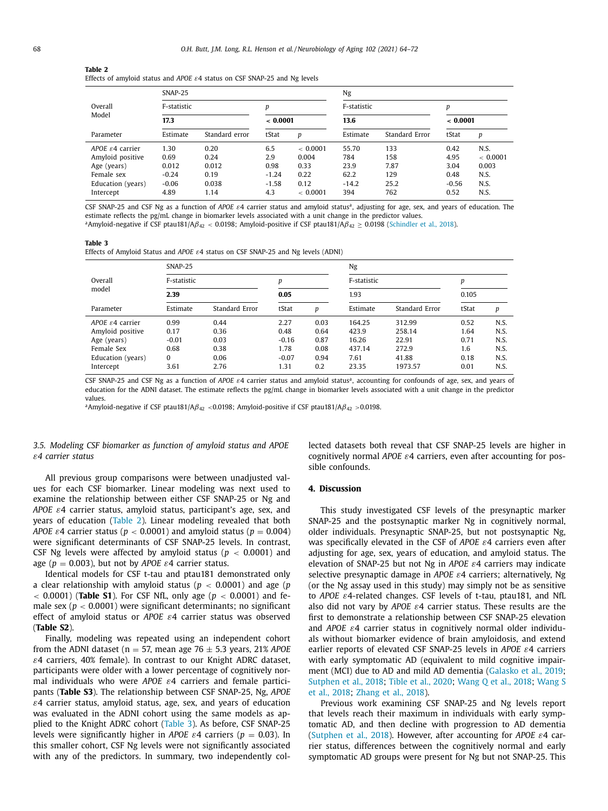|                              | SNAP-25     |                |         |                | Ng       |                     |         |                |  |
|------------------------------|-------------|----------------|---------|----------------|----------|---------------------|---------|----------------|--|
| Overall<br>Model             | F-statistic | 17.3           |         | р<br>~< 0.0001 |          | F-statistic<br>13.6 |         | p<br>~< 0.0001 |  |
|                              |             |                |         |                |          |                     |         |                |  |
| Parameter                    | Estimate    | Standard error | tStat   | p              | Estimate | Standard Error      | tStat   | p              |  |
| APOE $\varepsilon$ 4 carrier | 1.30        | 0.20           | 6.5     | ~< 0.0001      | 55.70    | 133                 | 0.42    | N.S.           |  |
| Amyloid positive             | 0.69        | 0.24           | 2.9     | 0.004          | 784      | 158                 | 4.95    | ~< 0.0001      |  |
| Age (years)                  | 0.012       | 0.012          | 0.98    | 0.33           | 23.9     | 7.87                | 3.04    | 0.003          |  |
| Female sex                   | $-0.24$     | 0.19           | $-1.24$ | 0.22           | 62.2     | 129                 | 0.48    | N.S.           |  |
| Education (years)            | $-0.06$     | 0.038          | $-1.58$ | 0.12           | $-14.2$  | 25.2                | $-0.56$ | N.S.           |  |
| Intercept                    | 4.89        | 1.14           | 4.3     | < 0.0001       | 394      | 762                 | 0.52    | N.S.           |  |

| Table 2                                                                                |  |  |  |  |
|----------------------------------------------------------------------------------------|--|--|--|--|
| Effects of amyloid status and APOE $\varepsilon$ 4 status on CSF SNAP-25 and Ng levels |  |  |  |  |

CSF SNAP-25 and CSF Ng as a function of *APOE* ε4 carrier status and amyloid statusa, adjusting for age, sex, and years of education. The estimate reflects the pg/mL change in biomarker levels associated with a unit change in the predictor values. <sup>a</sup>Amyloid-negative if CSF ptau181/A $\beta_{42}$  < 0.0198; Amyloid-positive if CSF ptau181/A $\beta_{42}$  ≥ 0.0198 [\(Schindler](#page-7-0) et al., 2018).

| Table 3                                                                                       |  |  |
|-----------------------------------------------------------------------------------------------|--|--|
| Effects of Amyloid Status and APOE $\varepsilon$ 4 status on CSF SNAP-25 and Ng levels (ADNI) |  |  |

|                   | <b>SNAP-25</b>      |      |           |      | Ng                  |         |            |      |
|-------------------|---------------------|------|-----------|------|---------------------|---------|------------|------|
| Overall<br>model  | F-statistic<br>2.39 |      | p<br>0.05 |      | F-statistic<br>1.93 |         | р<br>0.105 |      |
|                   |                     |      |           |      |                     |         |            |      |
| APOE £4 carrier   | 0.99                | 0.44 | 2.27      | 0.03 | 164.25              | 312.99  | 0.52       | N.S. |
| Amyloid positive  | 0.17                | 0.36 | 0.48      | 0.64 | 423.9               | 258.14  | 1.64       | N.S. |
| Age (years)       | $-0.01$             | 0.03 | $-0.16$   | 0.87 | 16.26               | 22.91   | 0.71       | N.S. |
| Female Sex        | 0.68                | 0.38 | 1.78      | 0.08 | 437.14              | 272.9   | 1.6        | N.S. |
| Education (years) | 0                   | 0.06 | $-0.07$   | 0.94 | 7.61                | 41.88   | 0.18       | N.S. |
| Intercept         | 3.61                | 2.76 | 1.31      | 0.2  | 23.35               | 1973.57 | 0.01       | N.S. |

CSF SNAP-25 and CSF Ng as a function of *APOE* ε4 carrier status and amyloid statusa, accounting for confounds of age, sex, and years of education for the ADNI dataset. The estimate reflects the pg/mL change in biomarker levels associated with a unit change in the predictor values.

<sup>a</sup>Amyloid-negative if CSF ptau181/A $\beta_{42}$  <0.0198; Amyloid-positive if CSF ptau181/A $\beta_{42}$  >0.0198.

# *3.5. Modeling CSF biomarker as function of amyloid status and APOE* ε*4 carrier status*

All previous group comparisons were between unadjusted values for each CSF biomarker. Linear modeling was next used to examine the relationship between either CSF SNAP-25 or Ng and *APOE* ε4 carrier status, amyloid status, participant's age, sex, and years of education (Table 2). Linear modeling revealed that both *APOE*  $\varepsilon$ 4 carrier status ( $p < 0.0001$ ) and amyloid status ( $p = 0.004$ ) were significant determinants of CSF SNAP-25 levels. In contrast, CSF Ng levels were affected by amyloid status ( $p < 0.0001$ ) and age ( $p = 0.003$ ), but not by *APOE*  $\varepsilon$ 4 carrier status.

Identical models for CSF t-tau and ptau181 demonstrated only a clear relationship with amyloid status (*p* < 0.0001) and age (*p* < 0.0001) (**Table S1**). For CSF NfL, only age (*p* < 0.0001) and female sex (*p* < 0.0001) were significant determinants; no significant effect of amyloid status or *APOE* ε4 carrier status was observed (**Table S2**).

Finally, modeling was repeated using an independent cohort from the ADNI dataset ( $n = 57$ , mean age  $76 \pm 5.3$  years, 21% *APOE* ε4 carriers, 40% female). In contrast to our Knight ADRC dataset, participants were older with a lower percentage of cognitively normal individuals who were *APOE* ε4 carriers and female participants (**Table S3**). The relationship between CSF SNAP-25, Ng, *APOE*  $\varepsilon$ 4 carrier status, amyloid status, age, sex, and years of education was evaluated in the ADNI cohort using the same models as applied to the Knight ADRC cohort (Table 3). As before, CSF SNAP-25 levels were significantly higher in *APOE*  $\varepsilon$ 4 carriers ( $p = 0.03$ ). In this smaller cohort, CSF Ng levels were not significantly associated with any of the predictors. In summary, two independently collected datasets both reveal that CSF SNAP-25 levels are higher in cognitively normal *APOE* ε4 carriers, even after accounting for possible confounds.

# **4. Discussion**

This study investigated CSF levels of the presynaptic marker SNAP-25 and the postsynaptic marker Ng in cognitively normal, older individuals. Presynaptic SNAP-25, but not postsynaptic Ng, was specifically elevated in the CSF of *APOE* ε4 carriers even after adjusting for age, sex, years of education, and amyloid status. The elevation of SNAP-25 but not Ng in *APOE* ε4 carriers may indicate selective presynaptic damage in *APOE* ε4 carriers; alternatively, Ng (or the Ng assay used in this study) may simply not be as sensitive to *APOE* ε4-related changes. CSF levels of t-tau, ptau181, and NfL also did not vary by *APOE* ε4 carrier status. These results are the first to demonstrate a relationship between CSF SNAP-25 elevation and *APOE* ε4 carrier status in cognitively normal older individuals without biomarker evidence of brain amyloidosis, and extend earlier reports of elevated CSF SNAP-25 levels in *APOE* ε4 carriers with early symptomatic AD (equivalent to mild cognitive impairment (MCI) due to AD and mild AD dementia [\(Galasko](#page-6-0) et al., 2019; [Sutphen](#page-7-0) et al., 2018; Tible et al., [2020;](#page-7-0) [Wang](#page-7-0) Q et al., 2018; Wang S et al., 2018; [Zhang](#page-7-0) et al., 2018).

Previous work examining CSF SNAP-25 and Ng levels report that levels reach their maximum in individuals with early symptomatic AD, and then decline with progression to AD dementia [\(Sutphen](#page-7-0) et al., 2018). However, after accounting for *APOE* ε4 carrier status, differences between the cognitively normal and early symptomatic AD groups were present for Ng but not SNAP-25. This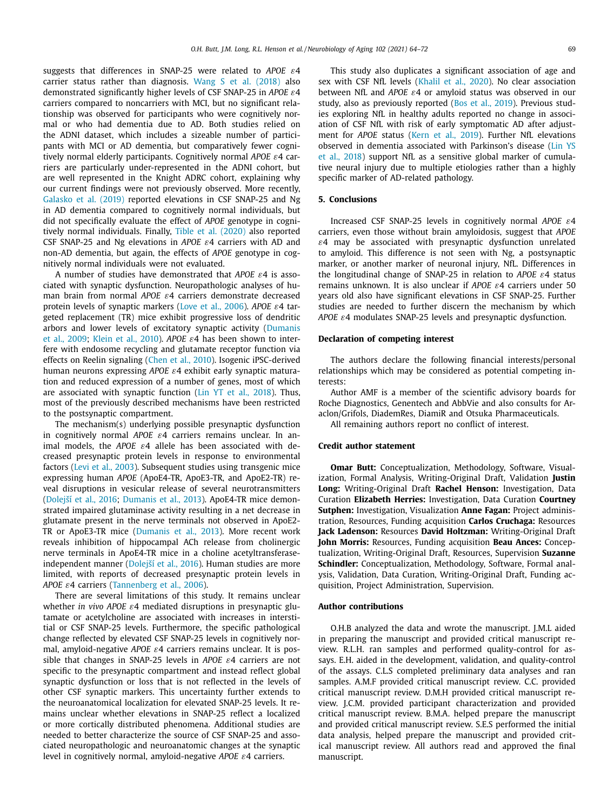suggests that differences in SNAP-25 were related to *APOE* ε4 carrier status rather than diagnosis. Wang S et al. [\(2018\)](#page-7-0) also demonstrated significantly higher levels of CSF SNAP-25 in *APOE* ε4 carriers compared to noncarriers with MCI, but no significant relationship was observed for participants who were cognitively normal or who had dementia due to AD. Both studies relied on the ADNI dataset, which includes a sizeable number of participants with MCI or AD dementia, but comparatively fewer cognitively normal elderly participants. Cognitively normal *APOE* ε4 carriers are particularly under-represented in the ADNI cohort, but are well represented in the Knight ADRC cohort, explaining why our current findings were not previously observed. More recently, [Galasko](#page-6-0) et al. (2019) reported elevations in CSF SNAP-25 and Ng in AD dementia compared to cognitively normal individuals, but did not specifically evaluate the effect of *APOE* genotype in cognitively normal individuals. Finally, Tible et al. [\(2020\)](#page-7-0) also reported CSF SNAP-25 and Ng elevations in *APOE* ε4 carriers with AD and non-AD dementia, but again, the effects of *APOE* genotype in cognitively normal individuals were not evaluated.

A number of studies have demonstrated that *APOE* ε4 is associated with synaptic dysfunction. Neuropathologic analyses of human brain from normal *APOE* ε4 carriers demonstrate decreased protein levels of synaptic markers (Love et al., [2006\)](#page-7-0). *APOE* ε4 targeted replacement (TR) mice exhibit progressive loss of dendritic arbors and lower levels of [excitatory](#page-6-0) synaptic activity (Dumanis et al., 2009; [Klein](#page-6-0) et al., 2010). *APOE* ε4 has been shown to interfere with endosome recycling and glutamate receptor function via effects on Reelin signaling [\(Chen](#page-6-0) et al., 2010). Isogenic iPSC-derived human neurons expressing *APOE* ε4 exhibit early synaptic maturation and reduced expression of a number of genes, most of which are associated with synaptic function (Lin YT et al., [2018\)](#page-7-0). Thus, most of the previously described mechanisms have been restricted to the postsynaptic compartment.

The mechanism(s) underlying possible presynaptic dysfunction in cognitively normal *APOE* ε4 carriers remains unclear. In animal models, the *APOE* ε4 allele has been associated with decreased presynaptic protein levels in response to environmental factors (Levi et al., [2003\)](#page-7-0). Subsequent studies using transgenic mice expressing human *APOE* (ApoE4-TR, ApoE3-TR, and ApoE2-TR) reveal disruptions in vesicular release of several neurotransmitters [\(Dolejší et](#page-6-0) al., 2016; [Dumanis](#page-6-0) et al., 2013). ApoE4-TR mice demonstrated impaired glutaminase activity resulting in a net decrease in glutamate present in the nerve terminals not observed in ApoE2- TR or ApoE3-TR mice [\(Dumanis](#page-6-0) et al., 2013). More recent work reveals inhibition of hippocampal ACh release from cholinergic nerve terminals in ApoE4-TR mice in a choline acetyltransferaseindependent manner [\(Dolejší et](#page-6-0) al., 2016). Human studies are more limited, with reports of decreased presynaptic protein levels in *APOE* ε4 carriers [\(Tannenberg](#page-7-0) et al., 2006).

There are several limitations of this study. It remains unclear whether *in vivo APOE* ε4 mediated disruptions in presynaptic glutamate or acetylcholine are associated with increases in interstitial or CSF SNAP-25 levels. Furthermore, the specific pathological change reflected by elevated CSF SNAP-25 levels in cognitively normal, amyloid-negative *APOE* ε4 carriers remains unclear. It is possible that changes in SNAP-25 levels in *APOE* ε4 carriers are not specific to the presynaptic compartment and instead reflect global synaptic dysfunction or loss that is not reflected in the levels of other CSF synaptic markers. This uncertainty further extends to the neuroanatomical localization for elevated SNAP-25 levels. It remains unclear whether elevations in SNAP-25 reflect a localized or more cortically distributed phenomena. Additional studies are needed to better characterize the source of CSF SNAP-25 and associated neuropathologic and neuroanatomic changes at the synaptic level in cognitively normal, amyloid-negative *APOE* ε4 carriers.

This study also duplicates a significant association of age and sex with CSF NfL levels [\(Khalil](#page-6-0) et al., 2020). No clear association between NfL and *APOE* ε4 or amyloid status was observed in our study, also as previously reported (Bos et al., [2019\)](#page-6-0). Previous studies exploring NfL in healthy adults reported no change in association of CSF NfL with risk of early symptomatic AD after adjustment for *APOE* status (Kern et al., [2019\)](#page-6-0). Further NfL elevations observed in dementia associated with [Parkinson's](#page-7-0) disease (Lin YS et al., 2018) support NfL as a sensitive global marker of cumulative neural injury due to multiple etiologies rather than a highly specific marker of AD-related pathology.

## **5. Conclusions**

Increased CSF SNAP-25 levels in cognitively normal *APOE* ε4 carriers, even those without brain amyloidosis, suggest that *APOE*  $\varepsilon$ 4 may be associated with presynaptic dysfunction unrelated to amyloid. This difference is not seen with Ng, a postsynaptic marker, or another marker of neuronal injury, NfL. Differences in the longitudinal change of SNAP-25 in relation to *APOE* ε4 status remains unknown. It is also unclear if *APOE* ε4 carriers under 50 years old also have significant elevations in CSF SNAP-25. Further studies are needed to further discern the mechanism by which *APOE* ε4 modulates SNAP-25 levels and presynaptic dysfunction.

#### **Declaration of competing interest**

The authors declare the following financial interests/personal relationships which may be considered as potential competing interests:

Author AMF is a member of the scientific advisory boards for Roche Diagnostics, Genentech and AbbVie and also consults for Araclon/Grifols, DiademRes, DiamiR and Otsuka Pharmaceuticals.

All remaining authors report no conflict of interest.

#### **Credit author statement**

**Omar Butt:** Conceptualization, Methodology, Software, Visualization, Formal Analysis, Writing-Original Draft, Validation **Justin Long:** Writing-Original Draft **Rachel Henson:** Investigation, Data Curation **Elizabeth Herries:** Investigation, Data Curation **Courtney Sutphen:** Investigation, Visualization **Anne Fagan:** Project administration, Resources, Funding acquisition **Carlos Cruchaga:** Resources **Jack Ladenson:** Resources **David Holtzman:** Writing-Original Draft **John Morris:** Resources, Funding acquisition **Beau Ances:** Conceptualization, Writing-Original Draft, Resources, Supervision **Suzanne Schindler:** Conceptualization, Methodology, Software, Formal analysis, Validation, Data Curation, Writing-Original Draft, Funding acquisition, Project Administration, Supervision.

#### **Author contributions**

O.H.B analyzed the data and wrote the manuscript. J.M.L aided in preparing the manuscript and provided critical manuscript review. R.L.H. ran samples and performed quality-control for assays. E.H. aided in the development, validation, and quality-control of the assays. C.L.S completed preliminary data analyses and ran samples. A.M.F provided critical manuscript review. C.C. provided critical manuscript review. D.M.H provided critical manuscript review. J.C.M. provided participant characterization and provided critical manuscript review. B.M.A. helped prepare the manuscript and provided critical manuscript review. S.E.S performed the initial data analysis, helped prepare the manuscript and provided critical manuscript review. All authors read and approved the final manuscript.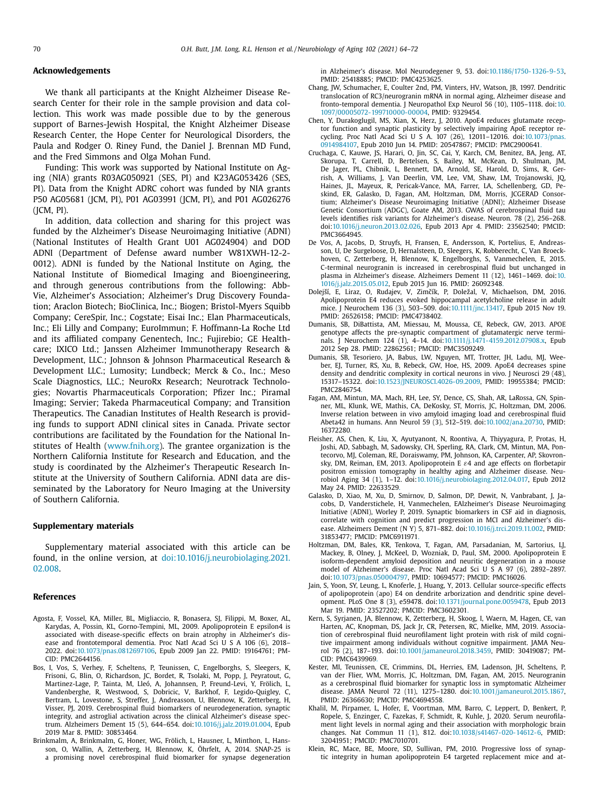## <span id="page-6-0"></span>**Acknowledgements**

We thank all participants at the Knight Alzheimer Disease Research Center for their role in the sample provision and data collection. This work was made possible due to by the generous support of Barnes-Jewish Hospital, the Knight Alzheimer Disease Research Center, the Hope Center for Neurological Disorders, the Paula and Rodger O. Riney Fund, the Daniel J. Brennan MD Fund, and the Fred Simmons and Olga Mohan Fund.

Funding: This work was supported by National Institute on Aging (NIA) grants R03AG050921 (SES, PI) and K23AG053426 (SES, PI). Data from the Knight ADRC cohort was funded by NIA grants P50 AG05681 (JCM, PI), P01 AG03991 (JCM, PI), and P01 AG026276 (JCM, PI).

In addition, data collection and sharing for this project was funded by the Alzheimer's Disease Neuroimaging Initiative (ADNI) (National Institutes of Health Grant U01 AG024904) and DOD ADNI (Department of Defense award number W81XWH-12-2- 0012). ADNI is funded by the National Institute on Aging, the National Institute of Biomedical Imaging and Bioengineering, and through generous contributions from the following: Abb-Vie, Alzheimer's Association; Alzheimer's Drug Discovery Foundation; Araclon Biotech; BioClinica, Inc.; Biogen; Bristol-Myers Squibb Company; CereSpir, Inc.; Cogstate; Eisai Inc.; Elan Pharmaceuticals, Inc.; Eli Lilly and Company; EuroImmun; F. Hoffmann-La Roche Ltd and its affiliated company Genentech, Inc.; Fujirebio; GE Healthcare; IXICO Ltd.; Janssen Alzheimer Immunotherapy Research & Development, LLC.; Johnson & Johnson Pharmaceutical Research & Development LLC.; Lumosity; Lundbeck; Merck & Co., Inc.; Meso Scale Diagnostics, LLC.; NeuroRx Research; Neurotrack Technologies; Novartis Pharmaceuticals Corporation; Pfizer Inc.; Piramal Imaging; Servier; Takeda Pharmaceutical Company; and Transition Therapeutics. The Canadian Institutes of Health Research is providing funds to support ADNI clinical sites in Canada. Private sector contributions are facilitated by the Foundation for the National Institutes of Health [\(www.fnih.org\)](http://www.fnih.org). The grantee organization is the Northern California Institute for Research and Education, and the study is coordinated by the Alzheimer's Therapeutic Research Institute at the University of Southern California. ADNI data are disseminated by the Laboratory for Neuro Imaging at the University of Southern California.

#### **Supplementary materials**

Supplementary material associated with this article can be found, in the online version, at [doi:10.1016/j.neurobiolaging.2021.](https://doi.org/10.1016/j.neurobiolaging.2021.02.008) 02.008.

### **References**

- Agosta, F, Vossel, KA, Miller, BL, Migliaccio, R, Bonasera, SJ, Filippi, M, Boxer, AL, Karydas, A, Possin, KL, Gorno-Tempini, ML, 2009. Apolipoprotein E epsilon4 is associated with disease-specific effects on brain atrophy in Alzheimer's disease and frontotemporal dementia. Proc Natl Acad Sci U S A 106 (6), 2018– 2022. doi[:10.1073/pnas.0812697106,](https://doi.org/10.1073/pnas.0812697106) Epub 2009 Jan 22. PMID: 19164761; PM-CID: PMC2644156.
- Bos, I, Vos, S, Verhey, F, Scheltens, P, Teunissen, C, Engelborghs, S, Sleegers, K, Frisoni, G, Blin, O, Richardson, JC, Bordet, R, Tsolaki, M, Popp, J, Peyratout, G, Martinez-Lage, P, Tainta, M, Lleó, A, Johannsen, P, Freund-Levi, Y, Frölich, L, Vandenberghe, R, Westwood, S, Dobricic, V, Barkhof, F, Legido-Quigley, C, Bertram, L, Lovestone, S, Streffer, J, Andreasson, U, Blennow, K, Zetterberg, H, Visser, PJ, 2019. Cerebrospinal fluid biomarkers of neurodegeneration, synaptic integrity, and astroglial activation across the clinical Alzheimer's disease spectrum. Alzheimers Dement 15 (5), 644–654. doi[:10.1016/j.jalz.2019.01.004,](https://doi.org/10.1016/j.jalz.2019.01.004) Epub 2019 Mar 8. PMID: 30853464.
- Brinkmalm, A, Brinkmalm, G, Honer, WG, Frölich, L, Hausner, L, Minthon, L, Hansson, O, Wallin, A, Zetterberg, H, Blennow, K, Öhrfelt, A, 2014. SNAP-25 is a promising novel cerebrospinal fluid biomarker for synapse degeneration

in Alzheimer's disease. Mol Neurodegener 9, 53. doi[:10.1186/1750-1326-9-53,](https://doi.org/10.1186/1750-1326-9-53) PMID: 25418885; PMCID: PMC4253625.

- Chang, JW, Schumacher, E, Coulter 2nd, PM, Vinters, HV, Watson, JB, 1997. Dendritic translocation of RC3/neurogranin mRNA in normal aging, Alzheimer disease and fronto-temporal dementia. J Neuropathol Exp Neurol 56 (10), 1105–1118. doi:10. [1097/00005072-199710000-00004,](https://doi.org/10.1097/00005072-199710000-00004) PMID: 9329454.
- Chen, Y, Durakoglugil, MS, Xian, X, Herz, J, 2010. ApoE4 reduces glutamate receptor function and synaptic plasticity by selectively impairing ApoE receptor recycling. Proc Natl Acad Sci U S A. 107 (26), 12011–12016. [doi:10.1073/pnas.](https://doi.org/10.1073/pnas.0914984107) 0914984107, Epub 2010 Jun 14. PMID: 20547867; PMCID: PMC2900641.
- Cruchaga, C, Kauwe, JS, Harari, O, Jin, SC, Cai, Y, Karch, CM, Benitez, BA, Jeng, AT, Skorupa, T, Carrell, D, Bertelsen, S, Bailey, M, McKean, D, Shulman, JM, De Jager, PL, Chibnik, L, Bennett, DA, Arnold, SE, Harold, D, Sims, R, Gerrish, A, Williams, J, Van Deerlin, VM, Lee, VM, Shaw, LM, Trojanowski, JQ, Haines, JL, Mayeux, R, Pericak-Vance, MA, Farrer, LA, Schellenberg, GD, Peskind, ER, Galasko, D, Fagan, AM, Holtzman, DM, Morris, JCGERAD Consortium; Alzheimer's Disease Neuroimaging Initiative (ADNI); Alzheimer Disease Genetic Consortium (ADGC), Goate AM, 2013. GWAS of cerebrospinal fluid tau levels identifies risk variants for Alzheimer's disease. Neuron. 78 (2), 256–268. doi[:10.1016/j.neuron.2013.02.026,](https://doi.org/10.1016/j.neuron.2013.02.026) Epub 2013 Apr 4. PMID: 23562540; PMCID: PMC3664945.
- De Vos, A, Jacobs, D, Struyfs, H, Fransen, E, Andersson, K, Portelius, E, Andreasson, U, De Surgeloose, D, Hernalsteen, D, Sleegers, K, Robberecht, C, Van Broeckhoven, C, Zetterberg, H, Blennow, K, Engelborghs, S, Vanmechelen, E, 2015. C-terminal neurogranin is increased in cerebrospinal fluid but unchanged in plasma in Alzheimer's disease. Alzheimers Dement 11 (12), 1461–1469. doi:10. [1016/j.jalz.2015.05.012,](https://doi.org/10.1016/j.jalz.2015.05.012) Epub 2015 Jun 16. PMID: 26092348.
- Dolejší, E, Liraz, O, Rudajev, V, Zimčík, P, Doležal, V, Michaelson, DM, 2016. Apolipoprotein E4 reduces evoked hippocampal acetylcholine release in adult mice. J Neurochem 136 (3), 503–509. doi[:10.1111/jnc.13417,](https://doi.org/10.1111/jnc.13417) Epub 2015 Nov 19. PMID: 26526158; PMCID: PMC4738402.
- Dumanis, SB, DiBattista, AM, Miessau, M, Moussa, CE, Rebeck, GW, 2013. APOE genotype affects the pre-synaptic compartment of glutamatergic nerve terminals. J Neurochem 124 (1), 4–14. doi[:10.1111/j.1471-4159.2012.07908.x,](https://doi.org/10.1111/j.1471-4159.2012.07908.x) Epub 2012 Sep 28. PMID: 22862561; PMCID: PMC3509249.
- Dumanis, SB, Tesoriero, JA, Babus, LW, Nguyen, MT, Trotter, JH, Ladu, MJ, Weeber, EJ, Turner, RS, Xu, B, Rebeck, GW, Hoe, HS, 2009. ApoE4 decreases spine density and dendritic complexity in cortical neurons in vivo. J Neurosci 29 (48), 15317–15322. doi[:10.1523/JNEUROSCI.4026-09.2009,](https://doi.org/10.1523/JNEUROSCI.4026-09.2009) PMID: 19955384; PMCID: PMC2846754.
- Fagan, AM, Mintun, MA, Mach, RH, Lee, SY, Dence, CS, Shah, AR, LaRossa, GN, Spinner, ML, Klunk, WE, Mathis, CA, DeKosky, ST, Morris, JC, Holtzman, DM, 2006. Inverse relation between in vivo amyloid imaging load and cerebrospinal fluid Abeta42 in humans. Ann Neurol 59 (3), 512–519. doi[:10.1002/ana.20730,](https://doi.org/10.1002/ana.20730) PMID: 16372280.
- Fleisher, AS, Chen, K, Liu, X, Ayutyanont, N, Roontiva, A, Thiyyagura, P, Protas, H, Joshi, AD, Sabbagh, M, Sadowsky, CH, Sperling, RA, Clark, CM, Mintun, MA, Pontecorvo, MJ, Coleman, RE, Doraiswamy, PM, Johnson, KA, Carpenter, AP, Skovronsky, DM, Reiman, EM, 2013. Apolipoprotein E  $\varepsilon$ 4 and age effects on florbetapir positron emission tomography in healthy aging and Alzheimer disease. Neurobiol Aging 34 (1), 1–12. doi[:10.1016/j.neurobiolaging.2012.04.017,](https://doi.org/10.1016/j.neurobiolaging.2012.04.017) Epub 2012 May 24. PMID: 22633529.
- Galasko, D, Xiao, M, Xu, D, Smirnov, D, Salmon, DP, Dewit, N, Vanbrabant, J, Jacobs, D, Vanderstichele, H, Vanmechelen, EAlzheimer's Disease Neuroimaging Initiative (ADNI), Worley P, 2019. Synaptic biomarkers in CSF aid in diagnosis, correlate with cognition and predict progression in MCI and Alzheimer's disease. Alzheimers Dement (N Y) 5, 871–882. doi[:10.1016/j.trci.2019.11.002,](https://doi.org/10.1016/j.trci.2019.11.002) PMID: 31853477; PMCID: PMC6911971.
- Holtzman, DM, Bales, KR, Tenkova, T, Fagan, AM, Parsadanian, M, Sartorius, LJ, Mackey, B, Olney, J, McKeel, D, Wozniak, D, Paul, SM, 2000. Apolipoprotein E isoform-dependent amyloid deposition and neuritic degeneration in a mouse model of Alzheimer's disease. Proc Natl Acad Sci U S A 97 (6), 2892–2897. doi[:10.1073/pnas.050004797,](https://doi.org/10.1073/pnas.050004797) PMID: 10694577; PMCID: PMC16026.
- Jain, S, Yoon, SY, Leung, L, Knoferle, J, Huang, Y, 2013. Cellular source-specific effects of apolipoprotein (apo) E4 on dendrite arborization and dendritic spine development. PLoS One 8 (3), e59478. doi[:10.1371/journal.pone.0059478,](https://doi.org/10.1371/journal.pone.0059478) Epub 2013 Mar 19. PMID: 23527202; PMCID: PMC3602301.
- Kern, S, Syrjanen, JA, Blennow, K, Zetterberg, H, Skoog, I, Waern, M, Hagen, CE, van Harten, AC, Knopman, DS, Jack Jr, CR, Petersen, RC, Mielke, MM, 2019. Association of cerebrospinal fluid neurofilament light protein with risk of mild cognitive impairment among individuals without cognitive impairment. JAMA Neurol 76 (2), 187–193. doi[:10.1001/jamaneurol.2018.3459,](https://doi.org/10.1001/jamaneurol.2018.3459) PMID: 30419087; PM-CID: PMC6439969.
- Kester, MI, Teunissen, CE, Crimmins, DL, Herries, EM, Ladenson, JH, Scheltens, P, van der Flier, WM, Morris, JC, Holtzman, DM, Fagan, AM, 2015. Neurogranin as a cerebrospinal fluid biomarker for synaptic loss in symptomatic Alzheimer disease. JAMA Neurol 72 (11), 1275–1280. doi[:10.1001/jamaneurol.2015.1867,](https://doi.org/10.1001/jamaneurol.2015.1867) PMID: 26366630; PMCID: PMC4694558.
- Khalil, M, Pirpamer, L, Hofer, E, Voortman, MM, Barro, C, Leppert, D, Benkert, P, Ropele, S, Enzinger, C, Fazekas, F, Schmidt, R, Kuhle, J, 2020. Serum neurofilament light levels in normal aging and their association with morphologic brain changes. Nat Commun 11 (1), 812. doi[:10.1038/s41467-020-14612-6,](https://doi.org/10.1038/s41467-020-14612-6) PMID: 32041951; PMCID: PMC7010701.
- Klein, RC, Mace, BE, Moore, SD, Sullivan, PM, 2010. Progressive loss of synaptic integrity in human apolipoprotein E4 targeted replacement mice and at-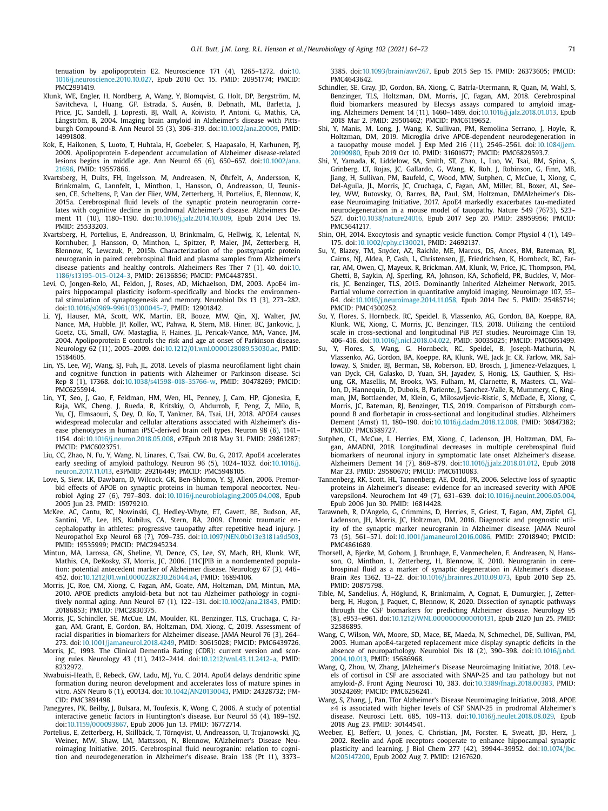<span id="page-7-0"></span>tenuation by apolipoprotein E2. Neuroscience 171 (4), 1265–1272. doi:10. [1016/j.neuroscience.2010.10.027,](https://doi.org/10.1016/j.neuroscience.2010.10.027) Epub 2010 Oct 15. PMID: 20951774; PMCID: PMC2991419.

- Klunk, WE, Engler, H, Nordberg, A, Wang, Y, Blomqvist, G, Holt, DP, Bergström, M, Savitcheva, I, Huang, GF, Estrada, S, Ausén, B, Debnath, ML, Barletta, J, Price, JC, Sandell, J, Lopresti, BJ, Wall, A, Koivisto, P, Antoni, G, Mathis, CA, Långström, B, 2004. Imaging brain amyloid in Alzheimer's disease with Pittsburgh Compound-B. Ann Neurol 55 (3), 306–319. doi[:10.1002/ana.20009,](https://doi.org/10.1002/ana.20009) PMID: 14991808.
- Kok, E, Haikonen, S, Luoto, T, Huhtala, H, Goebeler, S, Haapasalo, H, Karhunen, PJ, 2009. Apolipoprotein E-dependent accumulation of Alzheimer disease-related lesions begins in middle age. Ann Neurol 65 (6), 650–657. [doi:10.1002/ana.](https://doi.org/10.1002/ana.21696) 21696, PMID: 19557866.
- Kvartsberg, H, Duits, FH, Ingelsson, M, Andreasen, N, Öhrfelt, A, Andersson, K, Brinkmalm, G, Lannfelt, L, Minthon, L, Hansson, O, Andreasson, U, Teunissen, CE, Scheltens, P, Van der Flier, WM, Zetterberg, H, Portelius, E, Blennow, K, 2015a. Cerebrospinal fluid levels of the synaptic protein neurogranin correlates with cognitive decline in prodromal Alzheimer's disease. Alzheimers Dement 11 (10), 1180–1190. doi[:10.1016/j.jalz.2014.10.009,](https://doi.org/10.1016/j.jalz.2014.10.009) Epub 2014 Dec 19. PMID: 25533203.
- Kvartsberg, H, Portelius, E, Andreasson, U, Brinkmalm, G, Hellwig, K, Lelental, N, Kornhuber, J, Hansson, O, Minthon, L, Spitzer, P, Maler, JM, Zetterberg, H, Blennow, K, Lewczuk, P, 2015b. Characterization of the postsynaptic protein neurogranin in paired cerebrospinal fluid and plasma samples from Alzheimer's disease patients and healthy controls. Alzheimers Res Ther 7 (1), 40. doi:10. [1186/s13195-015-0124-3,](https://doi.org/10.1186/s13195-015-0124-3) PMID: 26136856; PMCID: PMC4487851.
- Levi, O, Jongen-Relo, AL, Feldon, J, Roses, AD, Michaelson, DM, 2003. ApoE4 impairs hippocampal plasticity isoform-specifically and blocks the environmental stimulation of synaptogenesis and memory. Neurobiol Dis 13 (3), 273–282. doi[:10.1016/s0969-9961\(03\)00045-7,](https://doi.org/10.1016/s0969-9961(03)00045-7) PMID: 12901842.
- Li, YJ, Hauser, MA, Scott, WK, Martin, ER, Booze, MW, Qin, XJ, Walter, JW, Nance, MA, Hubble, JP, Koller, WC, Pahwa, R, Stern, MB, Hiner, BC, Jankovic, J, Goetz, CG, Small, GW, Mastaglia, F, Haines, JL, Pericak-Vance, MA, Vance, JM, 2004. Apolipoprotein E controls the risk and age at onset of Parkinson disease. Neurology 62 (11), 2005–2009. doi[:10.1212/01.wnl.0000128089.53030.ac,](https://doi.org/10.1212/01.wnl.0000128089.53030.ac) PMID: 15184605.
- Lin, YS, Lee, WJ, Wang, SJ, Fuh, JL, 2018. Levels of plasma neurofilament light chain and cognitive function in patients with Alzheimer or Parkinson disease. Sci Rep 8 (1), 17368. doi[:10.1038/s41598-018-35766-w,](https://doi.org/10.1038/s41598-018-35766-w) PMID: 30478269; PMCID: PMC6255914.
- Lin, YT, Seo, J, Gao, F, Feldman, HM, Wen, HL, Penney, J, Cam, HP, Gjoneska, E, Raja, WK, Cheng, J, Rueda, R, Kritskiy, O, Abdurrob, F, Peng, Z, Milo, B, Yu, CJ, Elmsaouri, S, Dey, D, Ko, T, Yankner, BA, Tsai, LH, 2018. APOE4 causes widespread molecular and cellular alterations associated with Alzheimer's disease phenotypes in human iPSC-derived brain cell types. Neuron 98 (6), 1141– 1154. doi[:10.1016/j.neuron.2018.05.008,](https://doi.org/10.1016/j.neuron.2018.05.008) e7Epub 2018 May 31. PMID: 29861287; PMCID: PMC6023751.
- Liu, CC, Zhao, N, Fu, Y, Wang, N, Linares, C, Tsai, CW, Bu, G, 2017. ApoE4 accelerates early seeding of amyloid pathology. Neuron 96 (5), 1024-1032. doi:10.1016/j. [neuron.2017.11.013,](https://doi.org/10.1016/j.neuron.2017.11.013) e3PMID: 29216449; PMCID: PMC5948105.
- Love, S, Siew, LK, Dawbarn, D, Wilcock, GK, Ben-Shlomo, Y, SJ, Allen, 2006. Premorbid effects of APOE on synaptic proteins in human temporal neocortex. Neurobiol Aging 27 (6), 797–803. doi[:10.1016/j.neurobiolaging.2005.04.008,](https://doi.org/10.1016/j.neurobiolaging.2005.04.008) Epub 2005 Jun 23. PMID: 15979210.
- McKee, AC, Cantu, RC, Nowinski, CJ, Hedley-Whyte, ET, Gavett, BE, Budson, AE, Santini, VE, Lee, HS, Kubilus, CA, Stern, RA, 2009. Chronic traumatic encephalopathy in athletes: progressive tauopathy after repetitive head injury. J Neuropathol Exp Neurol 68 (7), 709–735. doi[:10.1097/NEN.0b013e3181a9d503,](https://doi.org/10.1097/NEN.0b013e3181a9d503) PMID: 19535999; PMCID: PMC2945234.
- Mintun, MA, Larossa, GN, Sheline, YI, Dence, CS, Lee, SY, Mach, RH, Klunk, WE, Mathis, CA, DeKosky, ST, Morris, JC, 2006. [11C]PIB in a nondemented population: potential antecedent marker of Alzheimer disease. Neurology 67 (3), 446– 452. doi[:10.1212/01.wnl.0000228230.26044.a4,](https://doi.org/10.1212/01.wnl.0000228230.26044.a4) PMID: 16894106.
- Morris, JC, Roe, CM, Xiong, C, Fagan, AM, Goate, AM, Holtzman, DM, Mintun, MA, 2010. APOE predicts amyloid-beta but not tau Alzheimer pathology in cognitively normal aging. Ann Neurol 67 (1), 122–131. doi[:10.1002/ana.21843,](https://doi.org/10.1002/ana.21843) PMID: 20186853; PMCID: PMC2830375.
- Morris, JC, Schindler, SE, McCue, LM, Moulder, KL, Benzinger, TLS, Cruchaga, C, Fagan, AM, Grant, E, Gordon, BA, Holtzman, DM, Xiong, C, 2019. Assessment of racial disparities in biomarkers for Alzheimer disease. JAMA Neurol 76 (3), 264– 273. doi[:10.1001/jamaneurol.2018.4249,](https://doi.org/10.1001/jamaneurol.2018.4249) PMID: 30615028; PMCID: PMC6439726.
- Morris, JC, 1993. The Clinical Dementia Rating (CDR): current version and scoring rules. Neurology 43 (11), 2412–2414. doi[:10.1212/wnl.43.11.2412-a,](https://doi.org/10.1212/wnl.43.11.2412-a) PMID: 8232972.
- Nwabuisi-Heath, E, Rebeck, GW, Ladu, MJ, Yu, C, 2014. ApoE4 delays dendritic spine formation during neuron development and accelerates loss of mature spines in vitro. ASN Neuro 6 (1), e00134. doi[:10.1042/AN20130043,](https://doi.org/10.1042/AN20130043) PMID: 24328732; PM-CID: PMC3891498.
- Panegyres, PK, Beilby, J, Bulsara, M, Toufexis, K, Wong, C, 2006. A study of potential interactive genetic factors in Huntington's disease. Eur Neurol 55 (4), 189–192. doi[:10.1159/000093867,](https://doi.org/10.1159/000093867) Epub 2006 Jun 13. PMID: 16772714.
- Portelius, E, Zetterberg, H, Skillbäck, T, Törnqvist, U, Andreasson, U, Trojanowski, JQ, Weiner, MW, Shaw, LM, Mattsson, N, Blennow, KAlzheimer's Disease Neuroimaging Initiative, 2015. Cerebrospinal fluid neurogranin: relation to cognition and neurodegeneration in Alzheimer's disease. Brain 138 (Pt 11), 3373–

3385. doi[:10.1093/brain/awv267,](https://doi.org/10.1093/brain/awv267) Epub 2015 Sep 15. PMID: 26373605; PMCID: PMC4643642.

- Schindler, SE, Gray, JD, Gordon, BA, Xiong, C, Batrla-Utermann, R, Quan, M, Wahl, S, Benzinger, TLS, Holtzman, DM, Morris, JC, Fagan, AM, 2018. Cerebrospinal fluid biomarkers measured by Elecsys assays compared to amyloid imag-<br>ing. Alzheimers Dement 14 (11), 1460–1469. doi[:10.1016/j.jalz.2018.01.013,](https://doi.org/10.1016/j.jalz.2018.01.013) Epub 2018 Mar 2. PMID: 29501462; PMCID: PMC6119652.
- Shi, Y, Manis, M, Long, J, Wang, K, Sullivan, PM, Remolina Serrano, J, Hoyle, R, Holtzman, DM, 2019. Microglia drive APOE-dependent neurodegeneration in a tauopathy mouse model. J Exp Med 216 (11), 2546–2561. [doi:10.1084/jem.](https://doi.org/10.1084/jem.20190980) 20190980, Epub 2019 Oct 10. PMID: 31601677; PMCID: PMC6829593.7.
- Shi, Y, Yamada, K, Liddelow, SA, Smith, ST, Zhao, L, Luo, W, Tsai, RM, Spina, S, Grinberg, LT, Rojas, JC, Gallardo, G, Wang, K, Roh, J, Robinson, G, Finn, MB, Jiang, H, Sullivan, PM, Baufeld, C, Wood, MW, Sutphen, C, McCue, L, Xiong, C, Del-Aguila, JL, Morris, JC, Cruchaga, C, Fagan, AM, Miller, BL, Boxer, AL, Seeley, WW, Butovsky, O, Barres, BA, Paul, SM, Holtzman, DMAlzheimer's Disease Neuroimaging Initiative, 2017. ApoE4 markedly exacerbates tau-mediated neurodegeneration in a mouse model of tauopathy. Nature 549 (7673), 523– 527. doi[:10.1038/nature24016,](https://doi.org/10.1038/nature24016) Epub 2017 Sep 20. PMID: 28959956; PMCID: PMC5641217.
- Shin, OH, 2014. Exocytosis and synaptic vesicle function. Compr Physiol 4 (1), 149– 175. doi[:10.1002/cphy.c130021,](https://doi.org/10.1002/cphy.c130021) PMID: 24692137.
- Su, Y, Blazey, TM, Snyder, AZ, Raichle, ME, Marcus, DS, Ances, BM, Bateman, RJ, Cairns, NJ, Aldea, P, Cash, L, Christensen, JJ, Friedrichsen, K, Hornbeck, RC, Farrar, AM, Owen, CJ, Mayeux, R, Brickman, AM, Klunk, W, Price, JC, Thompson, PM, Ghetti, B, Saykin, AJ, Sperling, RA, Johnson, KA, Schofield, PR, Buckles, V, Morris, JC, Benzinger, TLS, 2015. Dominantly Inherited Alzheimer Network, 2015. Partial volume correction in quantitative amyloid imaging. Neuroimage 107, 55– 64. doi[:10.1016/j.neuroimage.2014.11.058,](https://doi.org/10.1016/j.neuroimage.2014.11.058) Epub 2014 Dec 5. PMID: 25485714; PMCID: PMC4300252.
- Su, Y, Flores, S, Hornbeck, RC, Speidel, B, Vlassenko, AG, Gordon, BA, Koeppe, RA, Klunk, WE, Xiong, C, Morris, JC, Benzinger, TLS, 2018. Utilizing the centiloid scale in cross-sectional and longitudinal PiB PET studies. Neuroimage Clin 19, 406–416. doi[:10.1016/j.nicl.2018.04.022,](https://doi.org/10.1016/j.nicl.2018.04.022) PMID: 30035025; PMCID: PMC6051499.
- Su, Y, Flores, S, Wang, G, Hornbeck, RC, Speidel, B, Joseph-Mathurin, N, Vlassenko, AG, Gordon, BA, Koeppe, RA, Klunk, WE, Jack Jr, CR, Farlow, MR, Salloway, S, Snider, BJ, Berman, SB, Roberson, ED, Brosch, J, Jimenez-Velazques, I, van Dyck, CH, Galasko, D, Yuan, SH, Jayadev, S, Honig, LS, Gauthier, S, Hsiung, GR, Masellis, M, Brooks, WS, Fulham, M, Clarnette, R, Masters, CL, Wallon, D, Hannequin, D, Dubois, B, Pariente, J, Sanchez-Valle, R, Mummery, C, Ringman, JM, Bottlaender, M, Klein, G, Milosavljevic-Ristic, S, McDade, E, Xiong, C, Morris, JC, Bateman, RJ, Benzinger, TLS, 2019. Comparison of Pittsburgh compound B and florbetapir in cross-sectional and longitudinal studies. Alzheimers Dement (Amst) 11, 180–190. doi[:10.1016/j.dadm.2018.12.008,](https://doi.org/10.1016/j.dadm.2018.12.008) PMID: 30847382; PMCID: PMC6389727.
- Sutphen, CL, McCue, L, Herries, EM, Xiong, C, Ladenson, JH, Holtzman, DM, Fagan, AMADNI, 2018. Longitudinal decreases in multiple cerebrospinal fluid biomarkers of neuronal injury in symptomatic late onset Alzheimer's disease. Alzheimers Dement 14 (7), 869–879. doi[:10.1016/j.jalz.2018.01.012,](https://doi.org/10.1016/j.jalz.2018.01.012) Epub 2018 Mar 23. PMID: 29580670; PMCID: PMC6110083.
- Tannenberg, RK, Scott, HL, Tannenberg, AE, Dodd, PR, 2006. Selective loss of synaptic proteins in Alzheimer's disease: evidence for an increased severity with APOE varepsilon4. Neurochem Int 49 (7), 631–639. doi[:10.1016/j.neuint.2006.05.004,](https://doi.org/10.1016/j.neuint.2006.05.004) Epub 2006 Jun 30. PMID: 16814428.
- Tarawneh, R, D'Angelo, G, Crimmins, D, Herries, E, Griest, T, Fagan, AM, Zipfel, GJ, Ladenson, JH, Morris, JC, Holtzman, DM, 2016. Diagnostic and prognostic utility of the synaptic marker neurogranin in Alzheimer disease. JAMA Neurol 73 (5), 561–571. doi[:10.1001/jamaneurol.2016.0086,](https://doi.org/10.1001/jamaneurol.2016.0086) PMID: 27018940; PMCID: PMC4861689.
- Thorsell, A, Bjerke, M, Gobom, J, Brunhage, E, Vanmechelen, E, Andreasen, N, Hansson, O, Minthon, L, Zetterberg, H, Blennow, K, 2010. Neurogranin in cerebrospinal fluid as a marker of synaptic degeneration in Alzheimer's disease. Brain Res 1362, 13–22. doi[:10.1016/j.brainres.2010.09.073,](https://doi.org/10.1016/j.brainres.2010.09.073) Epub 2010 Sep 25. PMID: 20875798.
- Tible, M, Sandelius, Å, Höglund, K, Brinkmalm, A, Cognat, E, Dumurgier, J, Zetterberg, H, Hugon, J, Paquet, C, Blennow, K, 2020. Dissection of synaptic pathways through the CSF biomarkers for predicting Alzheimer disease. Neurology 95 (8), e953–e961. doi[:10.1212/WNL.0000000000010131,](https://doi.org/10.1212/WNL.0000000000010131) Epub 2020 Jun 25. PMID: 32586895.
- Wang, C, Wilson, WA, Moore, SD, Mace, BE, Maeda, N, Schmechel, DE, Sullivan, PM, 2005. Human apoE4-targeted replacement mice display synaptic deficits in the absence of neuropathology. Neurobiol Dis 18 (2), 390–398. [doi:10.1016/j.nbd.](https://doi.org/10.1016/j.nbd.2004.10.013) 2004.10.013, PMID: 15686968.
- Wang, Q, Zhou, W, Zhang, JAlzheimer's Disease Neuroimaging Initiative, 2018. Levels of cortisol in CSF are associated with SNAP-25 and tau pathology but not amyloid-β. Front Aging Neurosci 10, 383. doi[:10.3389/fnagi.2018.00383,](https://doi.org/10.3389/fnagi.2018.00383) PMID: 30524269; PMCID: PMC6256241.
- Wang, S, Zhang, J, Pan, Tfor Alzheimer's Disease Neuroimaging Initiative, 2018. APOE ε4 is associated with higher levels of CSF SNAP-25 in prodromal Alzheimer's disease. Neurosci Lett. 685, 109–113. doi[:10.1016/j.neulet.2018.08.029,](https://doi.org/10.1016/j.neulet.2018.08.029) Epub 2018 Aug 23. PMID: 30144541.
- Weeber, EJ, Beffert, U, Jones, C, Christian, JM, Forster, E, Sweatt, JD, Herz, J, 2002. Reelin and ApoE receptors cooperate to enhance hippocampal synaptic plasticity and learning. J Biol Chem 277 (42), 39944–39952. [doi:10.1074/jbc.](https://doi.org/10.1074/jbc.M205147200) M205147200, Epub 2002 Aug 7. PMID: 12167620.